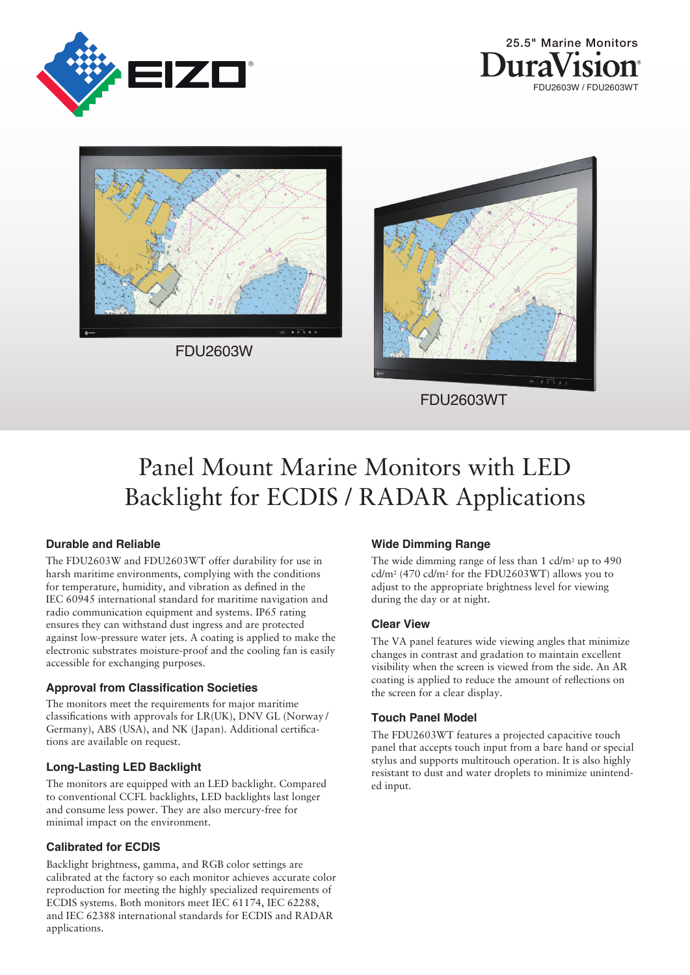





FDU2603W



# Panel Mount Marine Monitors with LED Backlight for ECDIS / RADAR Applications

#### **Durable and Reliable**

The FDU2603W and FDU2603WT offer durability for use in harsh maritime environments, complying with the conditions for temperature, humidity, and vibration as defined in the IEC 60945 international standard for maritime navigation and radio communication equipment and systems. IP65 rating ensures they can withstand dust ingress and are protected against low-pressure water jets. A coating is applied to make the electronic substrates moisture-proof and the cooling fan is easily accessible for exchanging purposes.

#### **Approval from Classification Societies**

The monitors meet the requirements for major maritime classifications with approvals for LR(UK), DNV GL (Norway/ Germany), ABS (USA), and NK (Japan). Additional certications are available on request.

#### **Long-Lasting LED Backlight**

The monitors are equipped with an LED backlight. Compared to conventional CCFL backlights, LED backlights last longer and consume less power. They are also mercury-free for minimal impact on the environment.

#### **Calibrated for ECDIS**

Backlight brightness, gamma, and RGB color settings are calibrated at the factory so each monitor achieves accurate color reproduction for meeting the highly specialized requirements of ECDIS systems. Both monitors meet IEC 61174, IEC 62288, and IEC 62388 international standards for ECDIS and RADAR applications.

### **Wide Dimming Range**

The wide dimming range of less than 1 cd/m<sup>2</sup> up to 490 cd/m2 (470 cd/m2 for the FDU2603WT) allows you to adjust to the appropriate brightness level for viewing during the day or at night.

#### **Clear View**

The VA panel features wide viewing angles that minimize changes in contrast and gradation to maintain excellent visibility when the screen is viewed from the side. An AR coating is applied to reduce the amount of reflections on the screen for a clear display.

#### **Touch Panel Model**

The FDU2603WT features a projected capacitive touch panel that accepts touch input from a bare hand or special stylus and supports multitouch operation. It is also highly resistant to dust and water droplets to minimize unintended input.